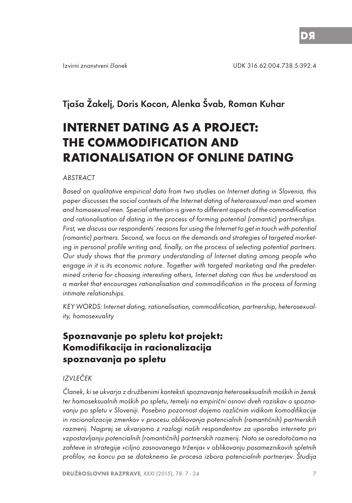# Tjaša Žakelj, Doris Kocon, Alenka Švab, Roman Kuhar

# **INTERNET DATING AS A PROJECT: THE COMMODIFICATION AND RATIONALISATION OF ONLINE DATING**

#### ABSTRACT

Based on qualitative empirical data from two studies on Internet dating in Slovenia, this paper discusses the social contexts of the Internet dating of heterosexual men and women and homosexual men. Special attention is given to different aspects of the commodification and rationalisation of dating in the process of forming potential (romantic) partnerships. First, we discuss our respondents' reasons for using the Internet to get in touch with potential (romantic) partners. Second, we focus on the demands and strategies of targeted marketing in personal profile writing and, finally, on the process of selecting potential partners. Our study shows that the primary understanding of Internet dating among people who engage in it is its economic nature. Together with targeted marketing and the predetermined criteria for choosing interesting others, Internet dating can thus be understood as a market that encourages rationalisation and commodification in the process of forming intimate relationships.

KEY WORDS: Internet dating, rationalisation, commodification, partnership, heterosexuality, homosexuality

# **Spoznavanje po spletu kot projekt: Komodifikacija in racionalizacija spoznavanja po spletu**

#### IZVLEČEK

Članek, ki se ukvarja z družbenimi konteksti spoznavanja heteroseksualnih moških in žensk ter homoseksualnih moških po spletu, temelji na empirični osnovi dveh raziskav o spoznavanju po spletu v Sloveniji. Posebno pozornost dajemo različnim vidikom komodifikacije in racionalizacije zmenkov v procesu oblikovanja potencialnih (romantičnih) partnerskih razmerij. Najprej se ukvarjamo z razlogi naših respondentov za uporabo interneta pri vzpostavljanju potencialnih (romantičnih) partnerskih razmerij. Nato se osredotočamo na zahteve in strategije »ciljno zasnovanega trženja« v oblikovanju posameznikovih spletnih profilov, na koncu pa se dotaknemo še procesa izbora potencialnih partnerjev. Študija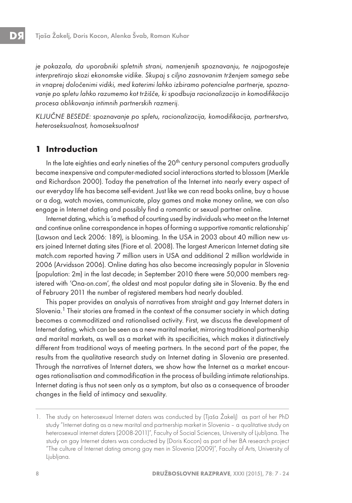je pokazala, da uporabniki spletnih strani, namenjenih spoznavanju, te najpogosteje interpretirajo skozi ekonomske vidike. Skupaj s ciljno zasnovanim trženjem samega sebe in vnaprej določenimi vidiki, med katerimi lahko izbiramo potencialne partnerje, spoznavanje po spletu lahko razumemo kot tržišče, ki spodbuja racionalizacijo in komodifikacijo procesa oblikovanja intimnih partnerskih razmerij.

KLJUČNE BESEDE: spoznavanje po spletu, racionalizacija, komodifikacija, partnerstvo, heteroseksualnost, homoseksualnost

# **1 Introduction**

In the late eighties and early nineties of the 20<sup>th</sup> century personal computers gradually became inexpensive and computer-mediated social interactions started to blossom (Merkle and Richardson 2000). Today the penetration of the Internet into nearly every aspect of our everyday life has become self-evident. Just like we can read books online, buy a house or a dog, watch movies, communicate, play games and make money online, we can also engage in Internet dating and possibly find a romantic or sexual partner online.

Internet dating, which is 'a method of courting used by individuals who meet on the Internet and continue online correspondence in hopes of forming a supportive romantic relationship' (Lawson and Leck 2006: 189), is blooming. In the USA in 2003 about 40 million new users joined Internet dating sites (Fiore et al. 2008). The largest American Internet dating site match.com reported having 7 million users in USA and additional 2 million worldwide in 2006 (Arvidsson 2006). Online dating has also become increasingly popular in Slovenia (population: 2m) in the last decade; in September 2010 there were 50,000 members registered with 'Ona-on.com', the oldest and most popular dating site in Slovenia. By the end of February 2011 the number of registered members had nearly doubled.

This paper provides an analysis of narratives from straight and gay Internet daters in Slovenia.<sup>1</sup> Their stories are framed in the context of the consumer society in which dating becomes a commoditized and rationalised activity. First, we discuss the development of Internet dating, which can be seen as a new marital market, mirroring traditional partnership and marital markets, as well as a market with its specificities, which makes it distinctively different from traditional ways of meeting partners. In the second part of the paper, the results from the qualitative research study on Internet dating in Slovenia are presented. Through the narratives of Internet daters, we show how the Internet as a market encourages rationalisation and commodification in the process of building intimate relationships. Internet dating is thus not seen only as a symptom, but also as a consequence of broader changes in the field of intimacy and sexuality.

<sup>1.</sup> The study on heterosexual Internet daters was conducted by (Tjaša Žakelj) as part of her PhD study "Internet dating as a new marital and partnership market in Slovenia – a qualitative study on heterosexual internet daters (2008-2011)", Faculty of Social Sciences, University of Ljubljana. The study on gay Internet daters was conducted by (Doris Kocon) as part of her BA research project "The culture of Internet dating among gay men in Slovenia (2009)", Faculty of Arts, University of Ljubljana.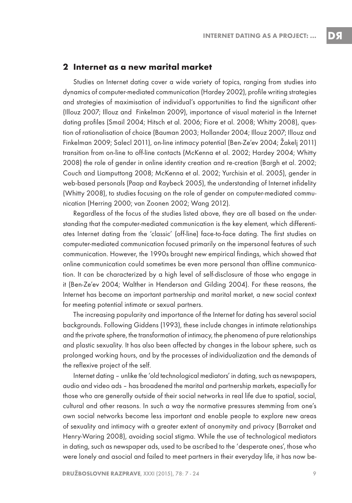#### **2 Internet as a new marital market**

Studies on Internet dating cover a wide variety of topics, ranging from studies into dynamics of computer-mediated communication (Hardey 2002), profile writing strategies and strategies of maximisation of individual's opportunities to find the significant other (Illouz 2007; Illouz and Finkelman 2009), importance of visual material in the Internet dating profiles (Smail 2004; Hitsch et al. 2006; Fiore et al. 2008; Whitty 2008), question of rationalisation of choice (Bauman 2003; Hollander 2004; Illouz 2007; Illouz and Finkelman 2009; Salecl 2011), on-line intimacy potential (Ben-Ze'ev 2004; Žakelj 2011) transition from on-line to off-line contacts (McKenna et al. 2002; Hardey 2004; Whitty 2008) the role of gender in online identity creation and re-creation (Bargh et al. 2002; Couch and Liamputtong 2008; McKenna et al. 2002; Yurchisin et al. 2005), gender in web-based personals (Paap and Raybeck 2005), the understanding of Internet infidelity (Whitty 2008), to studies focusing on the role of gender on computer-mediated communication (Herring 2000; van Zoonen 2002; Wang 2012).

Regardless of the focus of the studies listed above, they are all based on the understanding that the computer-mediated communication is the key element, which differentiates Internet dating from the 'classic' (off-line) face-to-face dating. The first studies on computer-mediated communication focused primarily on the impersonal features of such communication. However, the 1990s brought new empirical findings, which showed that online communication could sometimes be even more personal than offline communication. It can be characterized by a high level of self-disclosure of those who engage in it (Ben-Ze'ev 2004; Walther in Henderson and Gilding 2004). For these reasons, the Internet has become an important partnership and marital market, a new social context for meeting potential intimate or sexual partners.

The increasing popularity and importance of the Internet for dating has several social backgrounds. Following Giddens (1993), these include changes in intimate relationships and the private sphere, the transformation of intimacy, the phenomena of pure relationships and plastic sexuality. It has also been affected by changes in the labour sphere, such as prolonged working hours, and by the processes of individualization and the demands of the reflexive project of the self.

Internet dating – unlike the 'old technological mediators' in dating, such as newspapers, audio and video ads – has broadened the marital and partnership markets, especially for those who are generally outside of their social networks in real life due to spatial, social, cultural and other reasons. In such a way the normative pressures stemming from one's own social networks become less important and enable people to explore new areas of sexuality and intimacy with a greater extent of anonymity and privacy (Barraket and Henry-Waring 2008), avoiding social stigma. While the use of technological mediators in dating, such as newspaper ads, used to be ascribed to the 'desperate ones', those who were lonely and asocial and failed to meet partners in their everyday life, it has now be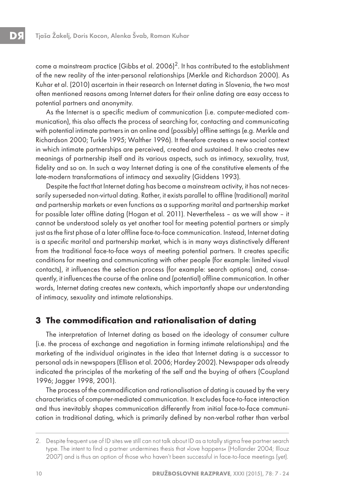come a mainstream practice (Gibbs et al.  $2006$ )<sup>2</sup>. It has contributed to the establishment of the new reality of the inter-personal relationships (Merkle and Richardson 2000). As Kuhar et al. (2010) ascertain in their research on Internet dating in Slovenia, the two most often mentioned reasons among Internet daters for their online dating are easy access to potential partners and anonymity.

As the Internet is a specific medium of communication (i.e. computer-mediated communication), this also affects the process of searching for, contacting and communicating with potential intimate partners in an online and (possibly) offline settings (e.g. Merkle and Richardson 2000; Turkle 1995; Walther 1996). It therefore creates a new social context in which intimate partnerships are perceived, created and sustained. It also creates new meanings of partnership itself and its various aspects, such as intimacy, sexuality, trust, fidelity and so on. In such a way Internet dating is one of the constitutive elements of the late-modern transformations of intimacy and sexuality (Giddens 1993).

Despite the fact that Internet dating has become a mainstream activity, it has not necessarily superseded non-virtual dating. Rather, it exists parallel to offline (traditional) marital and partnership markets or even functions as a supporting marital and partnership market for possible later offline dating (Hogan et al. 2011). Nevertheless – as we will show – it cannot be understood solely as yet another tool for meeting potential partners or simply just as the first phase of a later offline face-to-face communication. Instead, Internet dating is a specific marital and partnership market, which is in many ways distinctively different from the traditional face-to-face ways of meeting potential partners. It creates specific conditions for meeting and communicating with other people (for example: limited visual contacts), it influences the selection process (for example: search options) and, consequently, it influences the course of the online and (potential) offline communication. In other words, Internet dating creates new contexts, which importantly shape our understanding of intimacy, sexuality and intimate relationships.

# **3 The commodification and rationalisation of dating**

The interpretation of Internet dating as based on the ideology of consumer culture (i.e. the process of exchange and negotiation in forming intimate relationships) and the marketing of the individual originates in the idea that Internet dating is a successor to personal ads in newspapers (Ellison et al. 2006; Hardey 2002). Newspaper ads already indicated the principles of the marketing of the self and the buying of others (Coupland 1996; Jagger 1998, 2001).

The process of the commodification and rationalisation of dating is caused by the very characteristics of computer-mediated communication. It excludes face-to-face interaction and thus inevitably shapes communication differently from initial face-to-face communication in traditional dating, which is primarily defined by non-verbal rather than verbal

<sup>2.</sup> Despite frequent use of ID sites we still can not talk about ID as a totally stigma free partner search type. The intent to find a partner undermines thesis that »love happens« (Hollander 2004; Illouz 2007) and is thus an option of those who haven't been successful in face-to-face meetings (yet).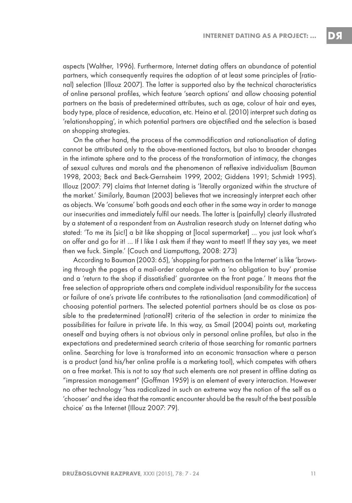DS

aspects (Walther, 1996). Furthermore, Internet dating offers an abundance of potential partners, which consequently requires the adoption of at least some principles of (rational) selection (Illouz 2007). The latter is supported also by the technical characteristics of online personal profiles, which feature 'search options' and allow choosing potential partners on the basis of predetermined attributes, such as age, colour of hair and eyes, body type, place of residence, education, etc. Heino et al. (2010) interpret such dating as 'relationshopping', in which potential partners are objectified and the selection is based on shopping strategies.

On the other hand, the process of the commodification and rationalisation of dating cannot be attributed only to the above-mentioned factors, but also to broader changes in the intimate sphere and to the process of the transformation of intimacy, the changes of sexual cultures and morals and the phenomenon of reflexive individualism (Bauman 1998, 2003; Beck and Beck-Gernsheim 1999, 2002; Giddens 1991; Schmidt 1995). Illouz (2007: 79) claims that Internet dating is 'literally organized within the structure of the market.' Similarly, Bauman (2003) believes that we increasingly interpret each other as objects. We 'consume' both goods and each other in the same way in order to manage our insecurities and immediately fulfil our needs. The latter is (painfully) clearly illustrated by a statement of a respondent from an Australian research study on Internet dating who stated: 'To me its [sic!] a bit like shopping at [local supermarket] … you just look what's on offer and go for it! … If I like I ask them if they want to meet! If they say yes, we meet then we fuck. Simple.' (Couch and Liamputtong, 2008: 273)

According to Bauman (2003: 65), 'shopping for partners on the Internet' is like 'browsing through the pages of a mail-order catalogue with a 'no obligation to buy' promise and a 'return to the shop if dissatisfied' guarantee on the front page.' It means that the free selection of appropriate others and complete individual responsibility for the success or failure of one's private life contributes to the rationalisation (and commodification) of choosing potential partners. The selected potential partners should be as close as possible to the predetermined (rational?) criteria of the selection in order to minimize the possibilities for failure in private life. In this way, as Smail (2004) points out, marketing oneself and buying others is not obvious only in personal online profiles, but also in the expectations and predetermined search criteria of those searching for romantic partners online. Searching for love is transformed into an economic transaction where a person is a product (and his/her online profile is a marketing tool), which competes with others on a free market. This is not to say that such elements are not present in offline dating as "impression management" (Goffman 1959) is an element of every interaction. However no other technology 'has radicalized in such an extreme way the notion of the self as a 'chooser' and the idea that the romantic encounter should be the result of the best possible choice' as the Internet (Illouz 2007: 79).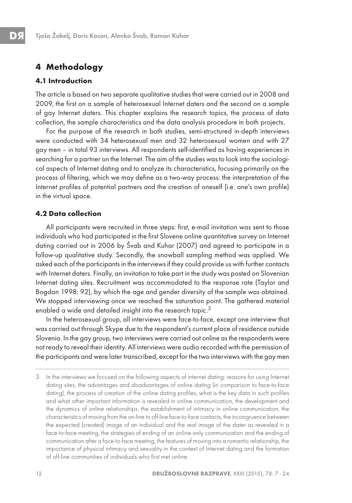# **4 Methodology**

## **4.1 Introduction**

The article is based on two separate qualitative studies that were carried out in 2008 and 2009, the first on a sample of heterosexual Internet daters and the second on a sample of gay Internet daters. This chapter explains the research topics, the process of data collection, the sample characteristics and the data analysis procedure in both projects.

For the purpose of the research in both studies, semi-structured in-depth interviews were conducted with 34 heterosexual men and 32 heterosexual women and with 27 gay men – in total 93 interviews. All respondents self-identified as having experiences in searching for a partner on the Internet. The aim of the studies was to look into the sociological aspects of Internet dating and to analyze its characteristics, focusing primarily on the process of filtering, which we may define as a two-way process: the interpretation of the Internet profiles of potential partners and the creation of oneself (i.e. one's own profile) in the virtual space.

## **4.2 Data collection**

All participants were recruited in three steps: first, e-mail invitation was sent to those individuals who had participated in the first Slovene online quantitative survey on Internet dating carried out in 2006 by Švab and Kuhar (2007) and agreed to participate in a follow-up qualitative study. Secondly, the snowball sampling method was applied. We asked each of the participants in the interviews if they could provide us with further contacts with Internet daters. Finally, an invitation to take part in the study was posted on Slovenian Internet dating sites. Recruitment was accommodated to the response rate (Taylor and Bogdan 1998: 92), by which the age and gender diversity of the sample was obtained. We stopped interviewing once we reached the saturation point. The gathered material enabled a wide and detailed insight into the research topic.<sup>3</sup>

In the heterosexual group, all interviews were face-to-face, except one interview that was carried out through Skype due to the respondent's current place of residence outside Slovenia. In the gay group, two interviews were carried out online as the respondents were not ready to reveal their identity. All interviews were audio recorded with the permission of the participants and were later transcribed, except for the two interviews with the gay men

<sup>3.</sup> In the interviews we focused on the following aspects of internet dating: reasons for using Internet dating sites, the advantages and disadvantages of online dating (in comparison to face-to-face dating), the process of creation of the online dating profiles, what is the key data in such profiles and what other important information is revealed in online communication, the development and the dynamics of online relationships, the establishment of intimacy in online communication, the characteristics of moving from the on-line to off-line face-to-face contacts, the incongruence between the expected (created) image of an individual and the real image of the dater as revealed in a face-to-face meeting, the strategies of ending of an online-only communication and the ending of communication after a face-to-face meeting, the features of moving into a romantic relationship, the importance of physical intimacy and sexuality in the context of Internet dating and the formation of off-line communities of individuals who first met online.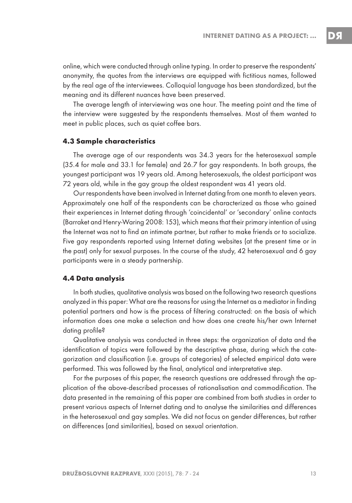DS

online, which were conducted through online typing. In order to preserve the respondents' anonymity, the quotes from the interviews are equipped with fictitious names, followed by the real age of the interviewees. Colloquial language has been standardized, but the meaning and its different nuances have been preserved.

The average length of interviewing was one hour. The meeting point and the time of the interview were suggested by the respondents themselves. Most of them wanted to meet in public places, such as quiet coffee bars.

#### **4.3 Sample characteristics**

The average age of our respondents was 34.3 years for the heterosexual sample (35.4 for male and 33.1 for female) and 26.7 for gay respondents. In both groups, the youngest participant was 19 years old. Among heterosexuals, the oldest participant was 72 years old, while in the gay group the oldest respondent was 41 years old.

Our respondents have been involved in Internet dating from one month to eleven years. Approximately one half of the respondents can be characterized as those who gained their experiences in Internet dating through 'coincidental' or 'secondary' online contacts (Barraket and Henry-Waring 2008: 153), which means that their primary intention of using the Internet was not to find an intimate partner, but rather to make friends or to socialize. Five gay respondents reported using Internet dating websites (at the present time or in the past) only for sexual purposes. In the course of the study, 42 heterosexual and 6 gay participants were in a steady partnership.

#### **4.4 Data analysis**

In both studies, qualitative analysis was based on the following two research questions analyzed in this paper: What are the reasons for using the Internet as a mediator in finding potential partners and how is the process of filtering constructed: on the basis of which information does one make a selection and how does one create his/her own Internet dating profile?

Qualitative analysis was conducted in three steps: the organization of data and the identification of topics were followed by the descriptive phase, during which the categorization and classification (i.e. groups of categories) of selected empirical data were performed. This was followed by the final, analytical and interpretative step.

For the purposes of this paper, the research questions are addressed through the application of the above-described processes of rationalisation and commodification. The data presented in the remaining of this paper are combined from both studies in order to present various aspects of Internet dating and to analyse the similarities and differences in the heterosexual and gay samples. We did not focus on gender differences, but rather on differences (and similarities), based on sexual orientation.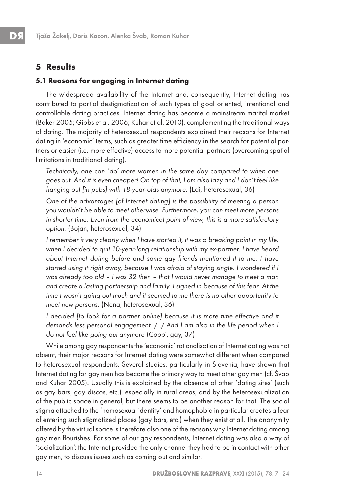## **5 Results**

#### **5.1 Reasons for engaging in Internet dating**

The widespread availability of the Internet and, consequently, Internet dating has contributed to partial destigmatization of such types of goal oriented, intentional and controllable dating practices. Internet dating has become a mainstream marital market (Baker 2005; Gibbs et al. 2006; Kuhar et al. 2010), complementing the traditional ways of dating. The majority of heterosexual respondents explained their reasons for Internet dating in 'economic' terms, such as greater time efficiency in the search for potential partners or easier (i.e. more effective) access to more potential partners (overcoming spatial limitations in traditional dating).

Technically, one can 'do' more women in the same day compared to when one goes out. And it is even cheaper! On top of that, I am also lazy and I don't feel like hanging out [in pubs] with 18-year-olds anymore. (Edi, heterosexual, 36)

One of the advantages [of Internet dating] is the possibility of meeting a person you wouldn't be able to meet otherwise. Furthermore, you can meet more persons in shorter time. Even from the economical point of view, this is a more satisfactory option. (Bojan, heterosexual, 34)

I remember it very clearly when I have started it, it was a breaking point in my life, when I decided to quit 10-year-long relationship with my ex-partner. I have heard about Internet dating before and some gay friends mentioned it to me. I have started using it right away, because I was afraid of staying single. I wondered if I was already too old – I was 32 then – that I would never manage to meet a man and create a lasting partnership and family. I signed in because of this fear. At the time I wasn't going out much and it seemed to me there is no other opportunity to meet new persons. (Nena, heterosexual, 36)

I decided [to look for a partner online] because it is more time effective and it demands less personal engagement. /…/ And I am also in the life period when I do not feel like going out anymore (Coopi, gay, 37)

While among gay respondents the 'economic' rationalisation of Internet dating was not absent, their major reasons for Internet dating were somewhat different when compared to heterosexual respondents. Several studies, particularly in Slovenia, have shown that Internet dating for gay men has become the primary way to meet other gay men (cf. Švab and Kuhar 2005). Usually this is explained by the absence of other 'dating sites' (such as gay bars, gay discos, etc.), especially in rural areas, and by the heterosexualization of the public space in general, but there seems to be another reason for that. The social stigma attached to the 'homosexual identity' and homophobia in particular creates a fear of entering such stigmatized places (gay bars, etc.) when they exist at all. The anonymity offered by the virtual space is therefore also one of the reasons why Internet dating among gay men flourishes. For some of our gay respondents, Internet dating was also a way of 'socialization': the Internet provided the only channel they had to be in contact with other gay men, to discuss issues such as coming out and similar.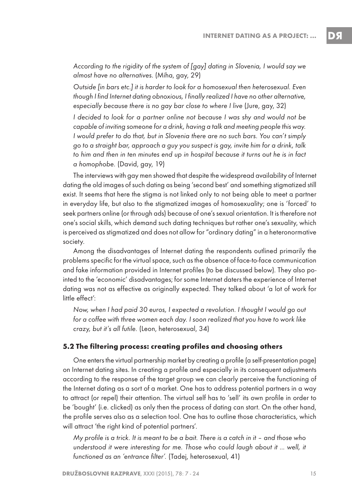DЯ

According to the rigidity of the system of [gay] dating in Slovenia, I would say we almost have no alternatives. (Miha, gay, 29)

Outside [in bars etc.] it is harder to look for a homosexual then heterosexual. Even though I find Internet dating obnoxious, I finally realized I have no other alternative, especially because there is no gay bar close to where I live (Jure, gay, 32)

I decided to look for a partner online not because I was shy and would not be capable of inviting someone for a drink, having a talk and meeting people this way. I would prefer to do that, but in Slovenia there are no such bars. You can't simply go to a straight bar, approach a guy you suspect is gay, invite him for a drink, talk to him and then in ten minutes end up in hospital because it turns out he is in fact a homophobe. (David, gay, 19)

The interviews with gay men showed that despite the widespread availability of Internet dating the old images of such dating as being 'second best' and something stigmatized still exist. It seems that here the stigma is not linked only to not being able to meet a partner in everyday life, but also to the stigmatized images of homosexuality; one is 'forced' to seek partners online (or through ads) because of one's sexual orientation. It is therefore not one's social skills, which demand such dating techniques but rather one's sexuality, which is perceived as stigmatized and does not allow for "ordinary dating" in a heteronormative society.

Among the disadvantages of Internet dating the respondents outlined primarily the problems specific for the virtual space, such as the absence of face-to-face communication and fake information provided in Internet profiles (to be discussed below). They also pointed to the 'economic' disadvantages; for some Internet daters the experience of Internet dating was not as effective as originally expected. They talked about 'a lot of work for little effect':

Now, when I had paid 30 euros, I expected a revolution. I thought I would go out for a coffee with three women each day. I soon realized that you have to work like crazy, but it's all futile. (Leon, heterosexual, 34)

#### **5.2 The filtering process: creating profiles and choosing others**

One enters the virtual partnership market by creating a profile (a self-presentation page) on Internet dating sites. In creating a profile and especially in its consequent adjustments according to the response of the target group we can clearly perceive the functioning of the Internet dating as a sort of a market. One has to address potential partners in a way to attract (or repel) their attention. The virtual self has to 'sell' its own profile in order to be 'bought' (i.e. clicked) as only then the process of dating can start. On the other hand, the profile serves also as a selection tool. One has to outline those characteristics, which will attract 'the right kind of potential partners'.

My profile is a trick. It is meant to be a bait. There is a catch in it – and those who understood it were interesting for me. Those who could laugh about it … well, it functioned as an 'entrance filter'. (Tadej, heterosexual, 41)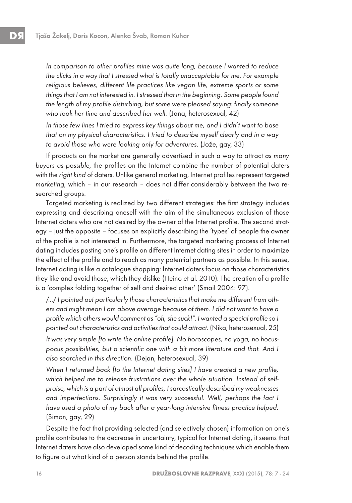In comparison to other profiles mine was quite long, because I wanted to reduce the clicks in a way that I stressed what is totally unacceptable for me. For example religious believes, different life practices like vegan life, extreme sports or some things that I am not interested in. I stressed that in the beginning. Some people found the length of my profile disturbing, but some were pleased saying: finally someone who took her time and described her well. (Jana, heterosexual, 42)

In those few lines I tried to express key things about me, and I didn't want to base that on my physical characteristics. I tried to describe myself clearly and in a way to avoid those who were looking only for adventures. (Jože, gay, 33)

If products on the market are generally advertised in such a way to attract as many buyers as possible, the profiles on the Internet combine the number of potential daters with the right kind of daters. Unlike general marketing, Internet profiles represent targeted marketing, which – in our research – does not differ considerably between the two researched groups.

Targeted marketing is realized by two different strategies: the first strategy includes expressing and describing oneself with the aim of the simultaneous exclusion of those Internet daters who are not desired by the owner of the Internet profile. The second strategy – just the opposite – focuses on explicitly describing the 'types' of people the owner of the profile is not interested in. Furthermore, the targeted marketing process of Internet dating includes posting one's profile on different Internet dating sites in order to maximize the effect of the profile and to reach as many potential partners as possible. In this sense, Internet dating is like a catalogue shopping: Internet daters focus on those characteristics they like and avoid those, which they dislike (Heino et al. 2010). The creation of a profile is a 'complex folding together of self and desired other' (Smail 2004: 97).

/…/ I pointed out particularly those characteristics that make me different from others and might mean I am above average because of them. I did not want to have a profile which others would comment as "oh, she suck!". I wanted a special profile so I pointed out characteristics and activities that could attract. (Nika, heterosexual, 25)

It was very simple [to write the online profile]. No horoscopes, no yoga, no hocuspocus possibilities, but a scientific one with a bit more literature and that. And I also searched in this direction. (Dejan, heterosexual, 39)

When I returned back [to the Internet dating sites] I have created a new profile, which helped me to release frustrations over the whole situation. Instead of selfpraise, which is a part of almost all profiles, I sarcastically described my weaknesses and imperfections. Surprisingly it was very successful. Well, perhaps the fact I have used a photo of my back after a year-long intensive fitness practice helped. (Simon, gay, 29)

Despite the fact that providing selected (and selectively chosen) information on one's profile contributes to the decrease in uncertainty, typical for Internet dating, it seems that Internet daters have also developed some kind of decoding techniques which enable them to figure out what kind of a person stands behind the profile.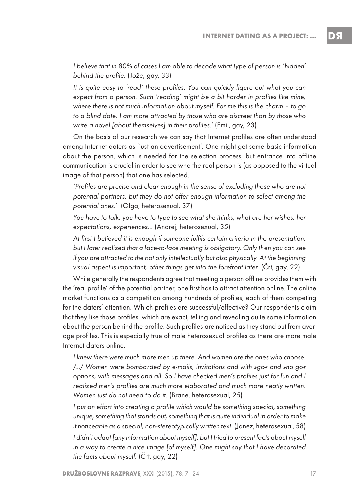I believe that in 80% of cases I am able to decode what type of person is 'hidden' behind the profile. (Jože, gay, 33)

It is quite easy to 'read' these profiles. You can quickly figure out what you can expect from a person. Such 'reading' might be a bit harder in profiles like mine, where there is not much information about myself. For me this is the charm – to go to a blind date. I am more attracted by those who are discreet than by those who write a novel [about themselves] in their profiles.' (Emil, gay, 23)

On the basis of our research we can say that Internet profiles are often understood among Internet daters as 'just an advertisement'. One might get some basic information about the person, which is needed for the selection process, but entrance into offline communication is crucial in order to see who the real person is (as opposed to the virtual image of that person) that one has selected.

'Profiles are precise and clear enough in the sense of excluding those who are not potential partners, but they do not offer enough information to select among the potential ones.' (Olga, heterosexual, 37)

You have to talk, you have to type to see what she thinks, what are her wishes, her expectations, experiences… (Andrej, heterosexual, 35)

At first I believed it is enough if someone fulfils certain criteria in the presentation, but I later realized that a face-to-face meeting is obligatory. Only then you can see if you are attracted to the not only intellectually but also physically. At the beginning visual aspect is important, other things get into the forefront later. (Črt, gay, 22)

While generally the respondents agree that meeting a person offline provides them with the 'real profile' of the potential partner, one first has to attract attention online. The online market functions as a competition among hundreds of profiles, each of them competing for the daters' attention. Which profiles are successful/effective? Our respondents claim that they like those profiles, which are exact, telling and revealing quite some information about the person behind the profile. Such profiles are noticed as they stand out from average profiles. This is especially true of male heterosexual profiles as there are more male Internet daters online.

I knew there were much more men up there. And women are the ones who choose. /…/ Women were bombarded by e-mails, invitations and with »go« and »no go« options, with messages and all. So I have checked men's profiles just for fun and I realized men's profiles are much more elaborated and much more neatly written. Women just do not need to do it. (Brane, heterosexual, 25)

I put an effort into creating a profile which would be something special, something unique, something that stands out, something that is quite individual in order to make it noticeable as a special, non-stereotypically written text. (Janez, heterosexual, 58) I didn't adapt [any information about myself], but I tried to present facts about myself in a way to create a nice image [of myself]. One might say that I have decorated the facts about myself. (Črt, gay, 22)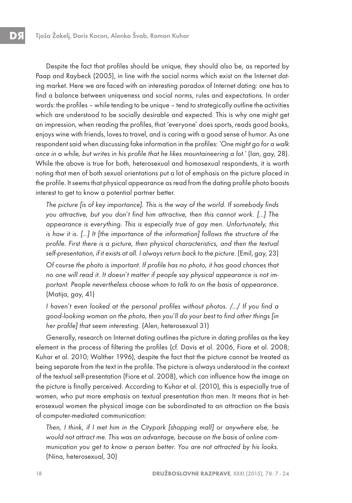Despite the fact that profiles should be unique, they should also be, as reported by Paap and Raybeck (2005), in line with the social norms which exist on the Internet dating market. Here we are faced with an interesting paradox of Internet dating: one has to find a balance between uniqueness and social norms, rules and expectations. In order words: the profiles – while tending to be unique – tend to strategically outline the activities which are understood to be socially desirable and expected. This is why one might get an impression, when reading the profiles, that 'everyone' does sports, reads good books, enjoys wine with friends, loves to travel, and is caring with a good sense of humor. As one respondent said when discussing fake information in the profiles: 'One might go for a walk once in a while, but writes in his profile that he likes mountaineering a lot.' (Ian, gay, 28). While the above is true for both, heterosexual and homosexual respondents, it is worth noting that men of both sexual orientations put a lot of emphasis on the picture placed in the profile. It seems that physical appearance as read from the dating profile photo boosts interest to get to know a potential partner better.

The picture [is of key importance]. This is the way of the world. If somebody finds you attractive, but you don't find him attractive, then this cannot work. […] The appearance is everything. This is especially true of gay men. Unfortunately, this is how it is. […] It [the importance of the information] follows the structure of the profile. First there is a picture, then physical characteristics, and then the textual self-presentation, if it exists at all. I always return back to the picture. (Emil, gay, 23)

Of course the photo is important. If profile has no photo, it has good chances that no one will read it. It doesn't matter if people say physical appearance is not important. People nevertheless choose whom to talk to on the basis of appearance. (Matija, gay, 41)

I haven't even looked at the personal profiles without photos. /…/ If you find a good-looking woman on the photo, then you'll do your best to find other things [in her profile] that seem interesting. (Alen, heterosexual 31)

Generally, research on Internet dating outlines the picture in dating profiles as the key element in the process of filtering the profiles (cf. Davis et al. 2006, Fiore et al. 2008; Kuhar et al. 2010; Walther 1996), despite the fact that the picture cannot be treated as being separate from the text in the profile. The picture is always understood in the context of the textual self-presentation (Fiore et al. 2008), which can influence how the image on the picture is finally perceived. According to Kuhar et al. (2010), this is especially true of women, who put more emphasis on textual presentation than men. It means that in heterosexual women the physical image can be subordinated to an attraction on the basis of computer-mediated communication:

Then, I think, if I met him in the Citypark [shopping mall] or anywhere else, he would not attract me. This was an advantage, because on the basis of online communication you get to know a person better. You are not attracted by his looks. (Nina, heterosexual, 30)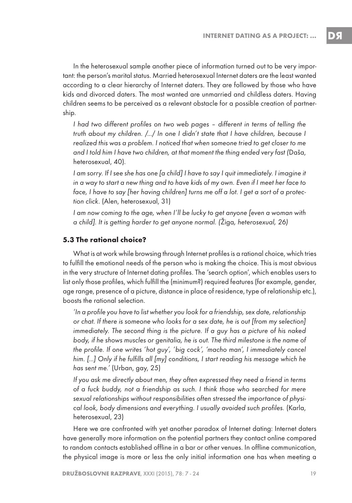In the heterosexual sample another piece of information turned out to be very important: the person's marital status. Married heterosexual Internet daters are the least wanted according to a clear hierarchy of Internet daters. They are followed by those who have kids and divorced daters. The most wanted are unmarried and childless daters. Having children seems to be perceived as a relevant obstacle for a possible creation of partnership.

I had two different profiles on two web pages – different in terms of telling the truth about my children. /…/ In one I didn't state that I have children, because I realized this was a problem. I noticed that when someone tried to get closer to me and I told him I have two children, at that moment the thing ended very fast (Daša, heterosexual, 40).

I am sorry. If I see she has one [a child] I have to say I quit immediately. I imagine it in a way to start a new thing and to have kids of my own. Even if I meet her face to face, I have to say [her having children] turns me off a lot. I get a sort of a protection click. (Alen, heterosexual, 31)

I am now coming to the age, when I'll be lucky to get anyone [even a woman with a child]. It is getting harder to get anyone normal. (Žiga, heterosexual, 26)

#### **5.3 The rational choice?**

What is at work while browsing through Internet profiles is a rational choice, which tries to fulfill the emotional needs of the person who is making the choice. This is most obvious in the very structure of Internet dating profiles. The 'search option', which enables users to list only those profiles, which fulfill the (minimum?) required features (for example, gender, age range, presence of a picture, distance in place of residence, type of relationship etc.), boosts the rational selection.

'In a profile you have to list whether you look for a friendship, sex date, relationship or chat. If there is someone who looks for a sex date, he is out [from my selection] immediately. The second thing is the picture. If a guy has a picture of his naked body, if he shows muscles or genitalia, he is out. The third milestone is the name of the profile. If one writes 'hot guy', 'big cock', 'macho man', I immediately cancel him. […] Only if he fulfills all [my] conditions, I start reading his message which he has sent me.' (Urban, gay, 25)

If you ask me directly about men, they often expressed they need a friend in terms of a fuck buddy, not a friendship as such. I think those who searched for mere sexual relationships without responsibilities often stressed the importance of physical look, body dimensions and everything. I usually avoided such profiles. (Karla, heterosexual, 23)

Here we are confronted with yet another paradox of Internet dating: Internet daters have generally more information on the potential partners they contact online compared to random contacts established offline in a bar or other venues. In offline communication, the physical image is more or less the only initial information one has when meeting a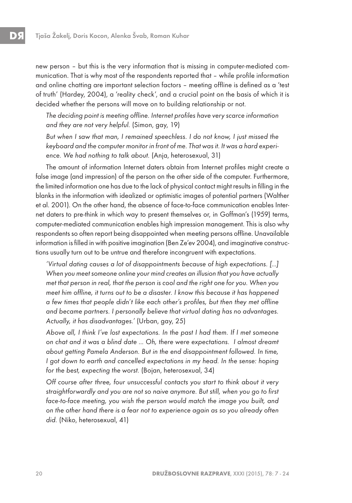new person – but this is the very information that is missing in computer-mediated communication. That is why most of the respondents reported that – while profile information and online chatting are important selection factors – meeting offline is defined as a 'test of truth' (Hardey, 2004), a 'reality check', and a crucial point on the basis of which it is decided whether the persons will move on to building relationship or not.

The deciding point is meeting offline. Internet profiles have very scarce information and they are not very helpful. (Simon, gay, 19)

But when I saw that man, I remained speechless. I do not know, I just missed the keyboard and the computer monitor in front of me. That was it. It was a hard experience. We had nothing to talk about. (Anja, heterosexual, 31)

The amount of information Internet daters obtain from Internet profiles might create a false image (and impression) of the person on the other side of the computer. Furthermore, the limited information one has due to the lack of physical contact might results in filling in the blanks in the information with idealized or optimistic images of potential partners (Walther et al. 2001). On the other hand, the absence of face-to-face communication enables Internet daters to pre-think in which way to present themselves or, in Goffman's (1959) terms, computer-mediated communication enables high impression management. This is also why respondents so often report being disappointed when meeting persons offline. Unavailable information is filled in with positive imagination (Ben Ze'ev 2004), and imaginative constructions usually turn out to be untrue and therefore incongruent with expectations.

'Virtual dating causes a lot of disappointments because of high expectations. […] When you meet someone online your mind creates an illusion that you have actually met that person in real, that the person is cool and the right one for you. When you meet him offline, it turns out to be a disaster. I know this because it has happened a few times that people didn't like each other's profiles, but then they met offline and became partners. I personally believe that virtual dating has no advantages. Actually, it has disadvantages.' (Urban, gay, 25)

Above all, I think I've lost expectations. In the past I had them. If I met someone on chat and it was a blind date … Oh, there were expectations. I almost dreamt about getting Pamela Anderson. But in the end disappointment followed. In time, I got down to earth and cancelled expectations in my head. In the sense: hoping for the best, expecting the worst. (Bojan, heterosexual, 34)

Off course after three, four unsuccessful contacts you start to think about it very straightforwardly and you are not so naive anymore. But still, when you go to first face-to-face meeting, you wish the person would match the image you built, and on the other hand there is a fear not to experience again as so you already often did. (Niko, heterosexual, 41)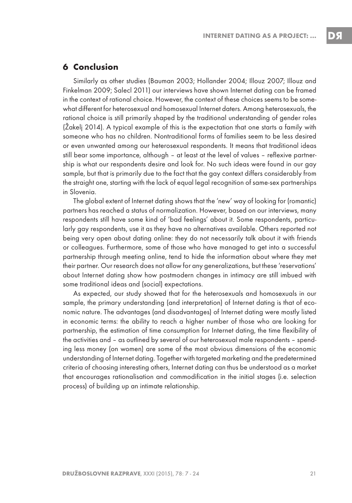D.S

## **6 Conclusion**

Similarly as other studies (Bauman 2003; Hollander 2004; Illouz 2007; Illouz and Finkelman 2009; Salecl 2011) our interviews have shown Internet dating can be framed in the context of rational choice. However, the context of these choices seems to be somewhat different for heterosexual and homosexual Internet daters. Among heterosexuals, the rational choice is still primarily shaped by the traditional understanding of gender roles (Žakelj 2014). A typical example of this is the expectation that one starts a family with someone who has no children. Nontraditional forms of families seem to be less desired or even unwanted among our heterosexual respondents. It means that traditional ideas still bear some importance, although – at least at the level of values – reflexive partnership is what our respondents desire and look for. No such ideas were found in our gay sample, but that is primarily due to the fact that the gay context differs considerably from the straight one, starting with the lack of equal legal recognition of same-sex partnerships in Slovenia.

The global extent of Internet dating shows that the 'new' way of looking for (romantic) partners has reached a status of normalization. However, based on our interviews, many respondents still have some kind of 'bad feelings' about it. Some respondents, particularly gay respondents, use it as they have no alternatives available. Others reported not being very open about dating online: they do not necessarily talk about it with friends or colleagues. Furthermore, some of those who have managed to get into a successful partnership through meeting online, tend to hide the information about where they met their partner. Our research does not allow for any generalizations, but these 'reservations' about Internet dating show how postmodern changes in intimacy are still imbued with some traditional ideas and (social) expectations.

As expected, our study showed that for the heterosexuals and homosexuals in our sample, the primary understanding (and interpretation) of Internet dating is that of economic nature. The advantages (and disadvantages) of Internet dating were mostly listed in economic terms: the ability to reach a higher number of those who are looking for partnership, the estimation of time consumption for Internet dating, the time flexibility of the activities and – as outlined by several of our heterosexual male respondents – spending less money (on women) are some of the most obvious dimensions of the economic understanding of Internet dating. Together with targeted marketing and the predetermined criteria of choosing interesting others, Internet dating can thus be understood as a market that encourages rationalisation and commodification in the initial stages (i.e. selection process) of building up an intimate relationship.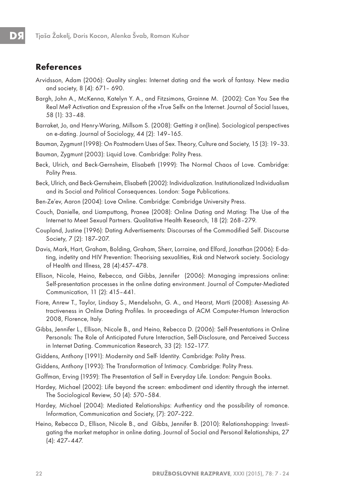#### **References**

- Arvidsson, Adam (2006): Quality singles: Internet dating and the work of fantasy. New media and society, 8 (4): 671– 690.
- Bargh, John A., McKenna, Katelyn Y. A., and Fitzsimons, Grainne M. (2002): Can You See the Real Me? Activation and Expression of the »True Self« on the Internet. Journal of Social Issues, 58 (1): 33–48.
- Barraket, Jo, and Henry-Waring, Millsom S. (2008): Getting it on(line). Sociological perspectives on e-dating. Journal of Sociology, 44 (2): 149–165.

Bauman, Zygmunt (1998): On Postmodern Uses of Sex. Theory, Culture and Society, 15 (3): 19–33.

Bauman, Zygmunt (2003): Liquid Love. Cambridge: Polity Press.

- Beck, Ulrich, and Beck-Gernsheim, Elisabeth (1999): The Normal Chaos of Love. Cambridge: Polity Press.
- Beck, Ulrich, and Beck-Gernsheim, Elisabeth (2002): Individualization. Institutionalized Individualism and its Social and Political Consequences. London: Sage Publications.
- Ben-Ze'ev, Aaron (2004): Love Online. Cambridge: Cambridge University Press.
- Couch, Danielle, and Liamputtong, Pranee (2008): Online Dating and Mating: The Use of the Internet to Meet Sexual Partners. Qualitative Health Research, 18 (2): 268–279.
- Coupland, Justine (1996): Dating Advertisements: Discourses of the Commodified Self. Discourse Society, 7 (2): 187–207.
- Davis, Mark, Hart, Graham, Bolding, Graham, Sherr, Lorraine, and Elford, Jonathan (2006): E-dating, indetity and HIV Prevention: Theorising sexualities, Risk and Network society. Sociology of Health and Illness, 28 (4):457–478.
- Ellison, Nicole, Heino, Rebecca, and Gibbs, Jennifer (2006): Managing impressions online: Self-presentation processes in the online dating environment. Journal of Computer-Mediated Communication, 11 (2): 415–441.
- Fiore, Anrew T., Taylor, Lindsay S., Mendelsohn, G. A., and Hearst, Marti (2008): Assessing Attractiveness in Online Dating Profiles. In proceedings of ACM Computer-Human Interaction 2008, Florence, Italy.
- Gibbs, Jennifer L., Ellison, Nicole B., and Heino, Rebecca D. (2006): Self-Presentations in Online Personals: The Role of Anticipated Future Interaction, Self-Disclosure, and Perceived Success in Internet Dating. Communication Research, 33 (2): 152–177.
- Giddens, Anthony (1991): Modernity and Self- Identity. Cambridge: Polity Press.
- Giddens, Anthony (1993): The Transformation of Intimacy. Cambridge: Polity Press.
- Goffman, Erving (1959): The Presentation of Self in Everyday Life. London: Penguin Books.
- Hardey, Michael (2002): Life beyond the screen: embodiment and identity through the internet. The Sociological Review, 50 (4): 570–584.
- Hardey, Michael (2004): Mediated Relationships: Authenticy and the possibility of romance. Information, Communication and Society, (7): 207–222.
- Heino, Rebecca D., Ellison, Nicole B., and Gibbs, Jennifer B. (2010): Relationshopping: Investigating the market metaphor in online dating. Journal of Social and Personal Relationships, 27 (4): 427–447.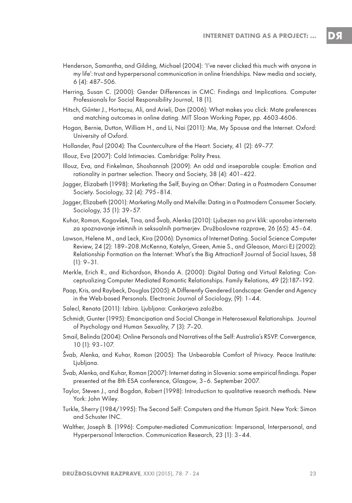- Henderson, Samantha, and Gilding, Michael (2004): 'I've never clicked this much with anyone in my life': trust and hyperpersonal communication in online friendships. New media and society, 6 (4): 487–506.
- Herring, Susan C. (2000): Gender Differences in CMC: Findings and Implications. Computer Professionals for Social Responsibility Journal, 18 (1).
- Hitsch, Gűnter J., Hortaçsu, Ali, and Arieli, Dan (2006): What makes you click: Mate preferences and matching outcomes in online dating. MIT Sloan Working Paper, pp. 4603-4606.
- Hogan, Bernie, Dutton, William H., and Li, Nai (2011): Me, My Spouse and the Internet. Oxford: University of Oxford.
- Hollander, Paul (2004): The Counterculture of the Heart. Society, 41 (2): 69–77.
- Illouz, Eva (2007): Cold Intimacies. Cambridge: Polity Press.
- Illouz, Eva, and Finkelman, Shoshannah (2009): An odd and inseparable couple: Emotion and rationality in partner selection. Theory and Society, 38 (4): 401–422.
- Jagger, Elizabeth (1998): Marketing the Self, Buying an Other: Dating in a Postmodern Consumer Society. Sociology, 32 (4): 795–814.
- Jagger, Elizabeth (2001): Marketing Molly and Melville: Dating in a Postmodern Consumer Society. Sociology, 35 (1): 39–57.
- Kuhar, Roman, Kogovšek, Tina, and Švab, Alenka (2010): Ljubezen na prvi klik: uporaba interneta za spoznavanje intimnih in seksualnih partnerjev. Družboslovne razprave, 26 (65): 45–64.
- Lawson, Helene M., and Leck, Kira (2006): Dynamics of Internet Dating. Social Science Computer Review, 24 (2): 189–208.McKenna, Katelyn, Green, Amie S., and Gleason, Marci EJ (2002): Relationship Formation on the Internet: What's the Big Attraction? Journal of Social Issues, 58 (1): 9–31.
- Merkle, Erich R., and Richardson, Rhonda A. (2000): Digital Dating and Virtual Relating: Conceptualizing Computer Mediated Romantic Relationships. Family Relations, 49 (2):187–192.
- Paap, Kris, and Raybeck, Douglas (2005): A Differently Gendered Landscape: Gender and Agency in the Web-based Personals. Electronic Journal of Sociology, (9): 1–44.
- Salecl, Renata (2011): Izbira. Ljubljana: Cankarjeva založba.
- Schmidt, Gunter (1995): Emancipation and Social Change in Heterosexual Relationships. Journal of Psychology and Human Sexuality, 7 (3): 7–20.
- Smail, Belinda (2004): Online Personals and Narratives of the Self: Australia's RSVP. Convergence, 10 (1): 93–107.
- Švab, Alenka, and Kuhar, Roman (2005): The Unbearable Comfort of Privacy. Peace Institute: Ljubljana.
- Švab, Alenka, and Kuhar, Roman (2007): Internet dating in Slovenia: some empirical findings. Paper presented at the 8th ESA conference, Glasgow, 3–6. September 2007.
- Taylor, Steven J., and Bogdan, Robert (1998): Introduction to qualitative research methods. New York: John Wiley.
- Turkle, Sherry (1984/1995): The Second Self: Computers and the Human Spirit. New York: Simon and Schuster INC.
- Walther, Joseph B. (1996): Computer-mediated Communication: Impersonal, Interpersonal, and Hyperpersonal Interaction. Communication Research, 23 (1): 3–44.